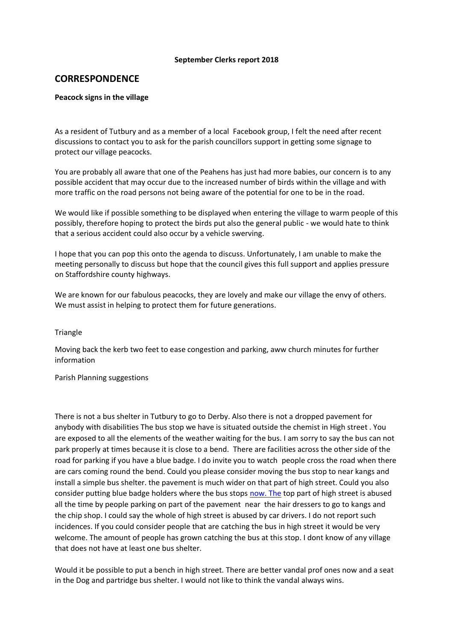### **September Clerks report 2018**

# **CORRESPONDENCE**

### **Peacock signs in the village**

As a resident of Tutbury and as a member of a local Facebook group, I felt the need after recent discussions to contact you to ask for the parish councillors support in getting some signage to protect our village peacocks.

You are probably all aware that one of the Peahens has just had more babies, our concern is to any possible accident that may occur due to the increased number of birds within the village and with more traffic on the road persons not being aware of the potential for one to be in the road.

We would like if possible something to be displayed when entering the village to warm people of this possibly, therefore hoping to protect the birds put also the general public - we would hate to think that a serious accident could also occur by a vehicle swerving.

I hope that you can pop this onto the agenda to discuss. Unfortunately, I am unable to make the meeting personally to discuss but hope that the council gives this full support and applies pressure on Staffordshire county highways.

We are known for our fabulous peacocks, they are lovely and make our village the envy of others. We must assist in helping to protect them for future generations.

#### **Triangle**

Moving back the kerb two feet to ease congestion and parking, aww church minutes for further information

#### Parish Planning suggestions

There is not a bus shelter in Tutbury to go to Derby. Also there is not a dropped pavement for anybody with disabilities The bus stop we have is situated outside the chemist in High street . You are exposed to all the elements of the weather waiting for the bus. I am sorry to say the bus can not park properly at times because it is close to a bend. There are facilities across the other side of the road for parking if you have a blue badge. I do invite you to watch people cross the road when there are cars coming round the bend. Could you please consider moving the bus stop to near kangs and install a simple bus shelter. the pavement is much wider on that part of high street. Could you also consider putting blue badge holders where the bus stops [now.](http://now.the/) The top part of high street is abused all the time by people parking on part of the pavement near the hair dressers to go to kangs and the chip shop. I could say the whole of high street is abused by car drivers. I do not report such incidences. If you could consider people that are catching the bus in high street it would be very welcome. The amount of people has grown catching the bus at this stop. I dont know of any village that does not have at least one bus shelter.

Would it be possible to put a bench in high street. There are better vandal prof ones now and a seat in the Dog and partridge bus shelter. I would not like to think the vandal always wins.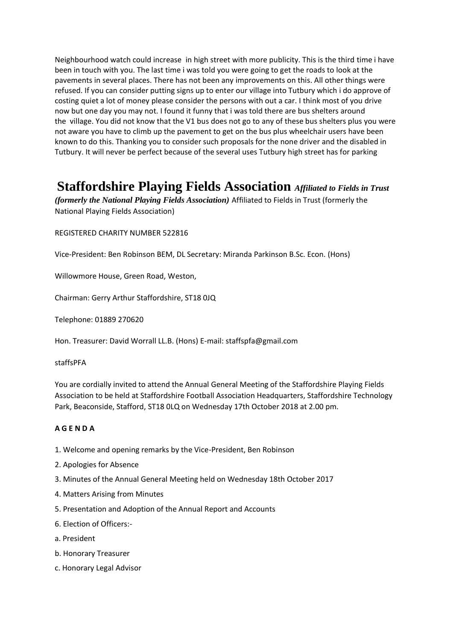Neighbourhood watch could increase in high street with more publicity. This is the third time i have been in touch with you. The last time i was told you were going to get the roads to look at the pavements in several places. There has not been any improvements on this. All other things were refused. If you can consider putting signs up to enter our village into Tutbury which i do approve of costing quiet a lot of money please consider the persons with out a car. I think most of you drive now but one day you may not. I found it funny that i was told there are bus shelters around the village. You did not know that the V1 bus does not go to any of these bus shelters plus you were not aware you have to climb up the pavement to get on the bus plus wheelchair users have been known to do this. Thanking you to consider such proposals for the none driver and the disabled in Tutbury. It will never be perfect because of the several uses Tutbury high street has for parking

# **Staffordshire Playing Fields Association** *Affiliated to Fields in Trust*

*(formerly the National Playing Fields Association)* Affiliated to Fields in Trust (formerly the National Playing Fields Association)

REGISTERED CHARITY NUMBER 522816

Vice-President: Ben Robinson BEM, DL Secretary: Miranda Parkinson B.Sc. Econ. (Hons)

Willowmore House, Green Road, Weston,

Chairman: Gerry Arthur Staffordshire, ST18 0JQ

Telephone: 01889 270620

Hon. Treasurer: David Worrall LL.B. (Hons) E-mail: staffspfa@gmail.com

### staffsPFA

You are cordially invited to attend the Annual General Meeting of the Staffordshire Playing Fields Association to be held at Staffordshire Football Association Headquarters, Staffordshire Technology Park, Beaconside, Stafford, ST18 0LQ on Wednesday 17th October 2018 at 2.00 pm.

### **A G E N D A**

- 1. Welcome and opening remarks by the Vice-President, Ben Robinson
- 2. Apologies for Absence
- 3. Minutes of the Annual General Meeting held on Wednesday 18th October 2017
- 4. Matters Arising from Minutes
- 5. Presentation and Adoption of the Annual Report and Accounts
- 6. Election of Officers:-
- a. President
- b. Honorary Treasurer
- c. Honorary Legal Advisor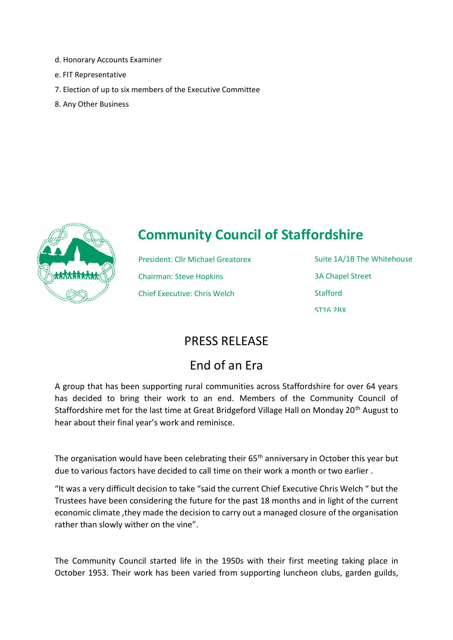- d. Honorary Accounts Examiner
- e. FIT Representative
- 7. Election of up to six members of the Executive Committee
- 8. Any Other Business



# **Community Council of Staffordshire**

President: Cllr Michael Greatorex Chairman: Steve Hopkins Chief Executive: Chris Welch

Suite 1A/1B The Whitehouse 3A Chapel Street **Stafford** ST16 2RX

# PRESS RELEASE

# End of an Era

A group that has been supporting rural communities across Staffordshire for over 64 years has decided to bring their work to an end. Members of the Community Council of Staffordshire met for the last time at Great Bridgeford Village Hall on Monday 20<sup>th</sup> August to hear about their final year's work and reminisce.

The organisation would have been celebrating their  $65<sup>th</sup>$  anniversary in October this year but due to various factors have decided to call time on their work a month or two earlier .

"It was a very difficult decision to take "said the current Chief Executive Chris Welch " but the Trustees have been considering the future for the past 18 months and in light of the current economic climate ,they made the decision to carry out a managed closure of the organisation rather than slowly wither on the vine".

The Community Council started life in the 1950s with their first meeting taking place in October 1953. Their work has been varied from supporting luncheon clubs, garden guilds,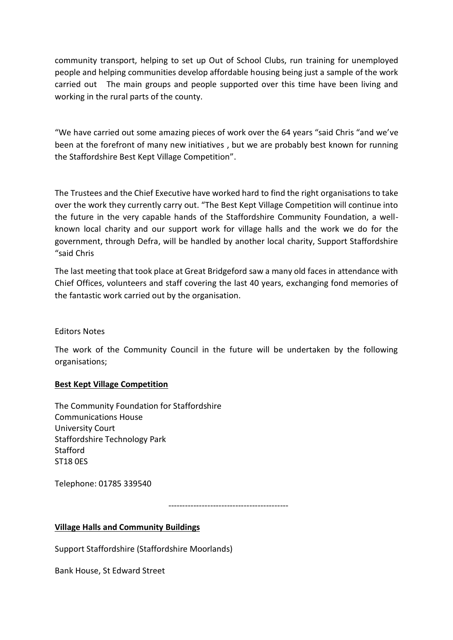community transport, helping to set up Out of School Clubs, run training for unemployed people and helping communities develop affordable housing being just a sample of the work carried out The main groups and people supported over this time have been living and working in the rural parts of the county.

"We have carried out some amazing pieces of work over the 64 years "said Chris "and we've been at the forefront of many new initiatives , but we are probably best known for running the Staffordshire Best Kept Village Competition".

The Trustees and the Chief Executive have worked hard to find the right organisations to take over the work they currently carry out. "The Best Kept Village Competition will continue into the future in the very capable hands of the Staffordshire Community Foundation, a wellknown local charity and our support work for village halls and the work we do for the government, through Defra, will be handled by another local charity, Support Staffordshire "said Chris

The last meeting that took place at Great Bridgeford saw a many old faces in attendance with Chief Offices, volunteers and staff covering the last 40 years, exchanging fond memories of the fantastic work carried out by the organisation.

Editors Notes

The work of the Community Council in the future will be undertaken by the following organisations;

## **Best Kept Village Competition**

The Community Foundation for Staffordshire Communications House University Court Staffordshire Technology Park **Stafford** ST18 0ES

Telephone: 01785 339540

-------------------------------------------

## **Village Halls and Community Buildings**

Support Staffordshire (Staffordshire Moorlands)

Bank House, St Edward Street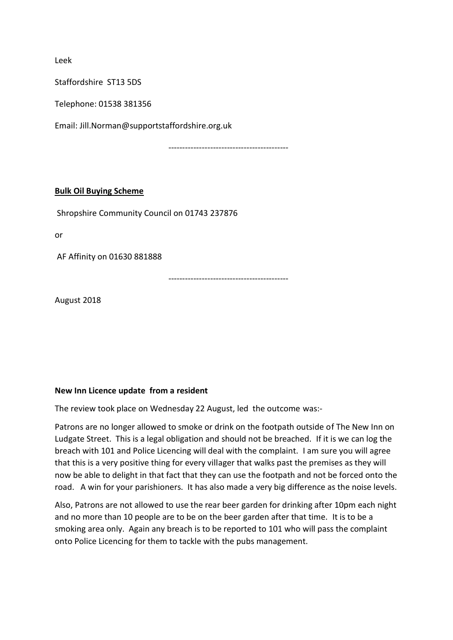Leek

Staffordshire ST13 5DS

Telephone: 01538 381356

Email: Jill.Norman@supportstaffordshire.org.uk

-------------------------------------------

### **Bulk Oil Buying Scheme**

Shropshire Community Council on 01743 237876

or

AF Affinity on 01630 881888

-------------------------------------------

August 2018

### **New Inn Licence update from a resident**

The review took place on Wednesday 22 August, led the outcome was:-

Patrons are no longer allowed to smoke or drink on the footpath outside of The New Inn on Ludgate Street. This is a legal obligation and should not be breached. If it is we can log the breach with 101 and Police Licencing will deal with the complaint. I am sure you will agree that this is a very positive thing for every villager that walks past the premises as they will now be able to delight in that fact that they can use the footpath and not be forced onto the road. A win for your parishioners. It has also made a very big difference as the noise levels.

Also, Patrons are not allowed to use the rear beer garden for drinking after 10pm each night and no more than 10 people are to be on the beer garden after that time. It is to be a smoking area only. Again any breach is to be reported to 101 who will pass the complaint onto Police Licencing for them to tackle with the pubs management.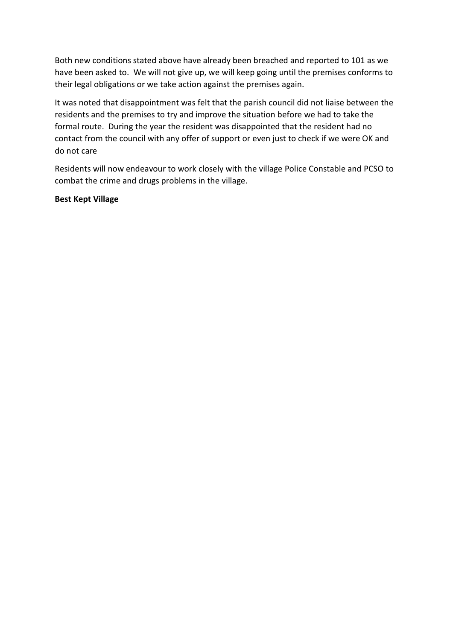Both new conditions stated above have already been breached and reported to 101 as we have been asked to. We will not give up, we will keep going until the premises conforms to their legal obligations or we take action against the premises again.

It was noted that disappointment was felt that the parish council did not liaise between the residents and the premises to try and improve the situation before we had to take the formal route. During the year the resident was disappointed that the resident had no contact from the council with any offer of support or even just to check if we were OK and do not care

Residents will now endeavour to work closely with the village Police Constable and PCSO to combat the crime and drugs problems in the village.

## **Best Kept Village**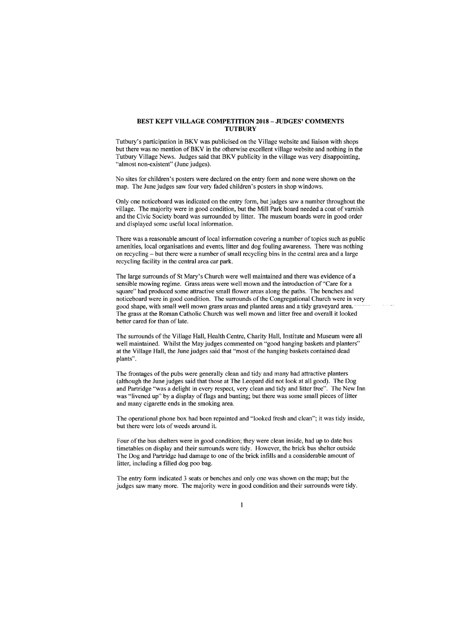#### BEST KEPT VILLAGE COMPETITION 2018 - JUDGES' COMMENTS **TUTBURY**

Tutbury's participation in BKV was publicised on the Village website and liaison with shops but there was no mention of BKV in the otherwise excellent village website and nothing in the Tutbury Village News. Judges said that BKV publicity in the village was very disappointing, "almost non-existent" (June judges).

No sites for children's posters were declared on the entry form and none were shown on the map. The June judges saw four very faded children's posters in shop windows.

Only one noticeboard was indicated on the entry form, but judges saw a number throughout the village. The majority were in good condition, but the Mill Park board needed a coat of varnish and the Civic Society board was surrounded by litter. The museum boards were in good order and displayed some useful local information.

There was a reasonable amount of local information covering a number of topics such as public amenities, local organisations and events, litter and dog fouling awareness. There was nothing on recycling - but there were a number of small recycling bins in the central area and a large recycling facility in the central area car park.

The large surrounds of St Mary's Church were well maintained and there was evidence of a sensible mowing regime. Grass areas were well mown and the introduction of "Care for a square" had produced some attractive small flower areas along the paths. The benches and noticeboard were in good condition. The surrounds of the Congregational Church were in very good shape, with small well mown grass areas and planted areas and a tidy graveyard area. The grass at the Roman Catholic Church was well mown and litter free and overall it looked better cared for than of late.

The surrounds of the Village Hall, Health Centre, Charity Hall, Institute and Museum were all well maintained. Whilst the May judges commented on "good hanging baskets and planters" at the Village Hall, the June judges said that "most of the hanging baskets contained dead plants".

The frontages of the pubs were generally clean and tidy and many had attractive planters (although the June judges said that those at The Leopard did not look at all good). The Dog and Partridge "was a delight in every respect, very clean and tidy and litter free". The New Inn was "livened up" by a display of flags and bunting; but there was some small pieces of litter and many cigarette ends in the smoking area.

The operational phone box had been repainted and "looked fresh and clean"; it was tidy inside, but there were lots of weeds around it.

Four of the bus shelters were in good condition; they were clean inside, had up to date bus timetables on display and their surrounds were tidy. However, the brick bus shelter outside The Dog and Partridge had damage to one of the brick infills and a considerable amount of litter, including a filled dog poo bag.

The entry form indicated 3 seats or benches and only one was shown on the map; but the judges saw many more. The majority were in good condition and their surrounds were tidy.

 $\mathbf{1}$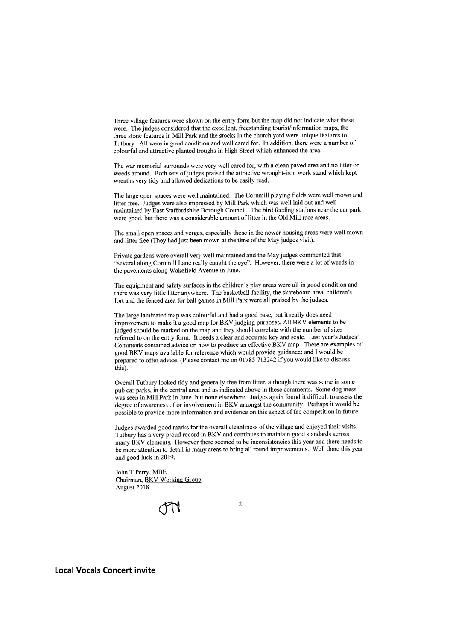Three village features were shown on the entry form but the map did not indicate what these were. The judges considered that the excellent, freestanding tourist/information maps, the three stone features in Mill Park and the stocks in the church yard were unique features to Tutbury. All were in good condition and well cared for. In addition, there were a number of colourful and attractive planted troughs in High Street which enhanced the area.

The war memorial surrounds were very well cared for, with a clean paved area and no litter or weeds around. Both sets of judges praised the attractive wrought-iron work stand which kept wreaths very tidy and allowed dedications to be easily read.

The large open spaces were well maintained. The Cornmill playing fields were well mown and litter free. Judges were also impressed by Mill Park which was well laid out and well maintained by East Staffordshire Borough Council. The bird feeding stations near the car park were good, but there was a considerable amount of litter in the Old Mill race areas.

The small open spaces and verges, especially those in the newer housing areas were well mown and litter free (They had just been mown at the time of the May judges visit).

Private gardens were overall very well maintained and the May judges commented that "several along Cornmill Lane really caught the eye". However, there were a lot of weeds in the pavements along Wakefield Avenue in June.

The equipment and safety surfaces in the children's play areas were all in good condition and there was very little litter anywhere. The basketball facility, the skateboard area, children's fort and the fenced area for ball games in Mill Park were all praised by the judges.

The large laminated map was colourful and had a good base, but it really does need improvement to make it a good map for BKV judging purposes. All BKV elements to be judged should be marked on the map and they should correlate with the number of sites referred to on the entry form. It needs a clear and accurate key and scale. Last year's Judges' Comments contained advice on how to produce an effective BKV map. There are examples of good BKV maps available for reference which would provide guidance; and I would be prepared to offer advice. (Please contact me on 01785 713242 if you would like to discuss this).

Overall Tutbury looked tidy and generally free from litter, although there was some in some pub car parks, in the central area and as indicated above in these comments. Some dog mess was seen in Mill Park in June, but none elsewhere. Judges again found it difficult to assess the degree of awareness of or involvement in BKV amongst the community. Perhaps it would be possible to provide more information and evidence on this aspect of the competition in future.

Judges awarded good marks for the overall cleanliness of the village and enjoyed their visits. Tutbury has a very proud record in BKV and continues to maintain good standards across many BKV elements. However there seemed to be inconsistencies this year and there needs to be more attention to detail in many areas to bring all round improvements. Well done this vear and good luck in 2019.

 $\overline{2}$ 

John T Perry, MBE Chairman, BKV Working Group August 2018

**Local Vocals Concert invite**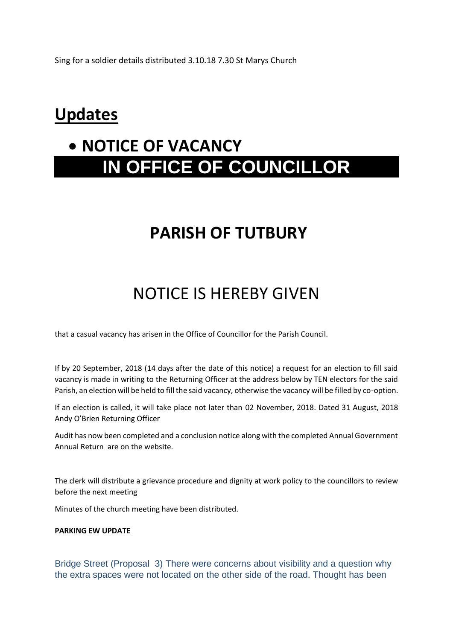Sing for a soldier details distributed 3.10.18 7.30 St Marys Church

# **Updates**

# • **NOTICE OF VACANCY IN OFFICE OF COUNCILLOR**

# **PARISH OF TUTBURY**

# NOTICE IS HEREBY GIVEN

that a casual vacancy has arisen in the Office of Councillor for the Parish Council.

If by 20 September, 2018 (14 days after the date of this notice) a request for an election to fill said vacancy is made in writing to the Returning Officer at the address below by TEN electors for the said Parish, an election will be held to fill the said vacancy, otherwise the vacancy will be filled by co-option.

If an election is called, it will take place not later than 02 November, 2018. Dated 31 August, 2018 Andy O'Brien Returning Officer

Audit has now been completed and a conclusion notice along with the completed Annual Government Annual Return are on the website.

The clerk will distribute a grievance procedure and dignity at work policy to the councillors to review before the next meeting

Minutes of the church meeting have been distributed.

### **PARKING EW UPDATE**

Bridge Street (Proposal 3) There were concerns about visibility and a question why the extra spaces were not located on the other side of the road. Thought has been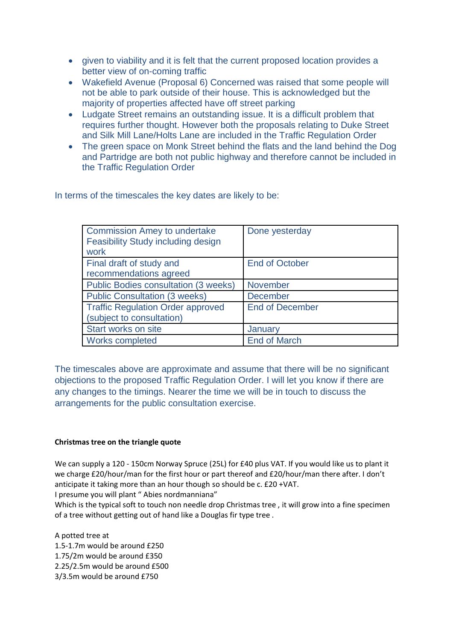- given to viability and it is felt that the current proposed location provides a better view of on-coming traffic
- Wakefield Avenue (Proposal 6) Concerned was raised that some people will not be able to park outside of their house. This is acknowledged but the majority of properties affected have off street parking
- Ludgate Street remains an outstanding issue. It is a difficult problem that requires further thought. However both the proposals relating to Duke Street and Silk Mill Lane/Holts Lane are included in the Traffic Regulation Order
- The green space on Monk Street behind the flats and the land behind the Dog and Partridge are both not public highway and therefore cannot be included in the Traffic Regulation Order

In terms of the timescales the key dates are likely to be:

| <b>Commission Amey to undertake</b><br>Feasibility Study including design<br>work | Done yesterday         |
|-----------------------------------------------------------------------------------|------------------------|
| Final draft of study and                                                          | <b>End of October</b>  |
| recommendations agreed                                                            |                        |
| <b>Public Bodies consultation (3 weeks)</b>                                       | November               |
| <b>Public Consultation (3 weeks)</b>                                              | <b>December</b>        |
| <b>Traffic Regulation Order approved</b>                                          | <b>End of December</b> |
| (subject to consultation)                                                         |                        |
| Start works on site                                                               | January                |
| Works completed                                                                   | <b>End of March</b>    |

The timescales above are approximate and assume that there will be no significant objections to the proposed Traffic Regulation Order. I will let you know if there are any changes to the timings. Nearer the time we will be in touch to discuss the arrangements for the public consultation exercise.

### **Christmas tree on the triangle quote**

We can supply a 120 - 150cm Norway Spruce (25L) for £40 plus VAT. If you would like us to plant it we charge £20/hour/man for the first hour or part thereof and £20/hour/man there after. I don't anticipate it taking more than an hour though so should be c. £20 +VAT.

I presume you will plant " Abies nordmanniana"

Which is the typical soft to touch non needle drop Christmas tree , it will grow into a fine specimen of a tree without getting out of hand like a Douglas fir type tree .

A potted tree at 1.5-1.7m would be around £250 1.75/2m would be around £350 2.25/2.5m would be around £500 3/3.5m would be around £750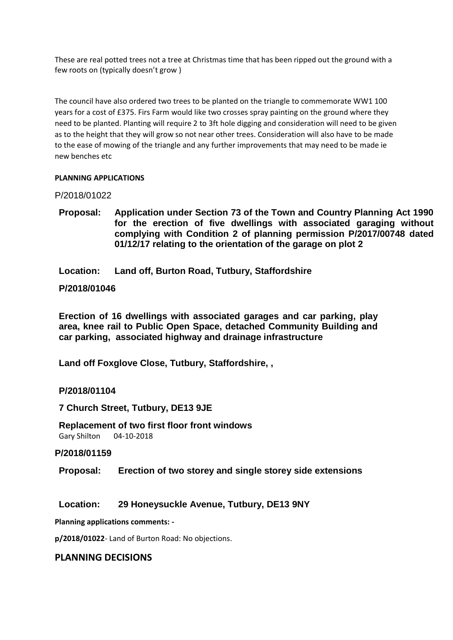These are real potted trees not a tree at Christmas time that has been ripped out the ground with a few roots on (typically doesn't grow )

The council have also ordered two trees to be planted on the triangle to commemorate WW1 100 years for a cost of £375. Firs Farm would like two crosses spray painting on the ground where they need to be planted. Planting will require 2 to 3ft hole digging and consideration will need to be given as to the height that they will grow so not near other trees. Consideration will also have to be made to the ease of mowing of the triangle and any further improvements that may need to be made ie new benches etc

### **PLANNING APPLICATIONS**

P/2018/01022

- **Proposal: Application under Section 73 of the Town and Country Planning Act 1990 for the erection of five dwellings with associated garaging without complying with Condition 2 of planning permission P/2017/00748 dated 01/12/17 relating to the orientation of the garage on plot 2**
- **Location: Land off, Burton Road, Tutbury, Staffordshire**

### **P/2018/01046**

**Erection of 16 dwellings with associated garages and car parking, play area, knee rail to Public Open Space, detached Community Building and car parking, associated highway and drainage infrastructure**

**Land off Foxglove Close, Tutbury, Staffordshire, ,** 

### **P/2018/01104**

**7 Church Street, Tutbury, DE13 9JE**

**Replacement of two first floor front windows** Gary Shilton 04-10-2018

### **P/2018/01159**

**Proposal: Erection of two storey and single storey side extensions**

### **Location: 29 Honeysuckle Avenue, Tutbury, DE13 9NY**

**Planning applications comments: -**

**p/2018/01022**- Land of Burton Road: No objections.

### **PLANNING DECISIONS**